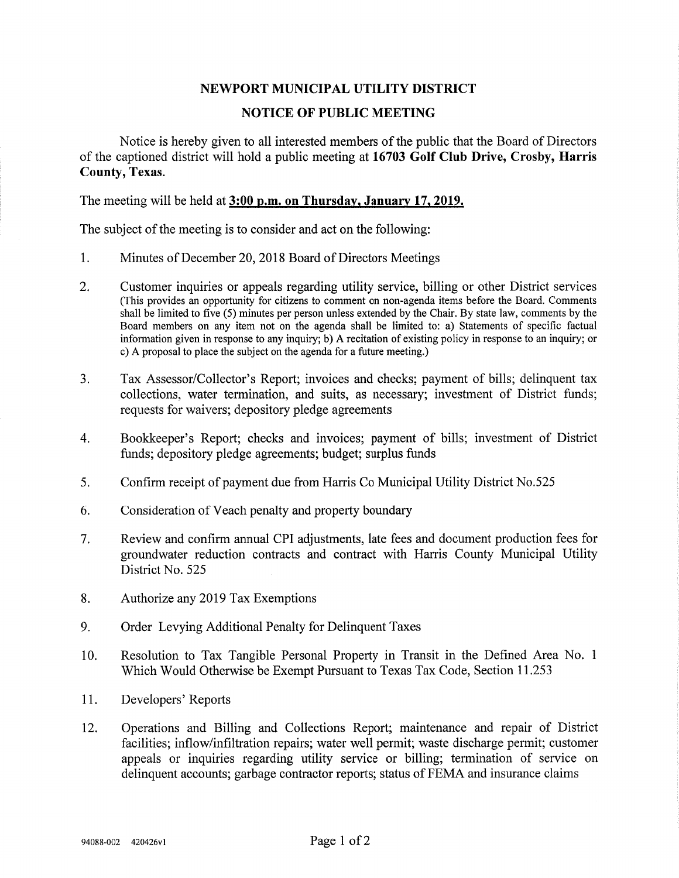## NEWPORT MUNICIPAL UTILITY DISTRICT

## NOTICE OF PUBLIC MEETING

Notice is hereby given to all interested members of the public that the Board of Directors of the captioned district will hold a public meeting at 16703 Golf Club Drive, Crosby, Harris County, Texas.

The meeting will be held at 3:00 p.m. on Thursday, January 17, 2019.

The subject of the meeting is to consider and act on the following:

- 1. Minutes of December 20, 2018 Board of Directors Meetings
- 2. Customer inquiries or appeals regarding utility service, billing or other District services (This provides an opportunity for citizens to comment on non-agenda items before the Board. Comments shall be limited to five (5) minutes per person unless extended by the Chair. By state law, comments by the Board members on any item not on the agenda shall be limited to: a) Statements of specific factual mformation given in response to any inquiry; b) A recitation of existing policy in response to an inquiry; or c) A proposal to place the subject on the agenda for a future meeting.)
- 3. Tax Assessor/Collector's Report; invoices and checks; payment of bills; delinquent tax collections, water termination, and suits, as necessary; investment of District funds; requests for waivers; depository pledge agreements
- 4. Bookkeeper's Report; checks and invoices; payment of bills; investment of District funds; depository pledge agreements; budget; surplus funds
- 5. Confirm receipt of payment due from Harris Co Municipal Utility District No.525
- 6. Consideration of Veach penalty and property boundary
- 7. Review and confirm annual CPI adjustments, late fees and document production fees for groundwater reduction contracts and contract with Harris County Municipal Utility District No. 525
- 8. Authorize any 2019 Tax Exemptions
- 9. Order Levying Additional Penalty for Delinquent Taxes
- 10. Resolution to Tax Tangible Personal Property in Transit in the Defined Area No. 1 Which Would Otherwise be Exempt Pursuant to Texas Tax Code, Section 11.253
- 11. Developers' Reports
- 12. Operations and Billing and Collections Report; maintenance and repair of District facilities; inflow/infiltration repairs; water well permit; waste discharge permit; customer appeals or inquiries regarding utility service or billing; termination of service on delinquent accounts; garbage contractor reports; status of FEMA and insurance claims